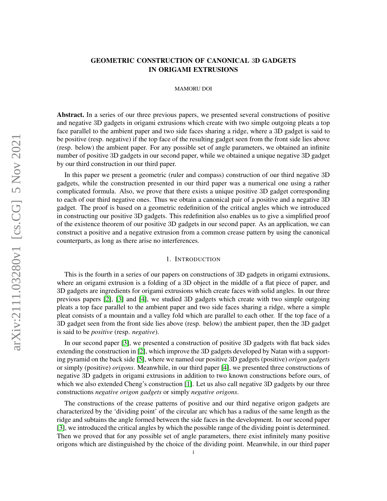# GEOMETRIC CONSTRUCTION OF CANONICAL 3D GADGETS IN ORIGAMI EXTRUSIONS

### MAMORU DOI

Abstract. In a series of our three previous papers, we presented several constructions of positive and negative 3D gadgets in origami extrusions which create with two simple outgoing pleats a top face parallel to the ambient paper and two side faces sharing a ridge, where a 3D gadget is said to be positive (resp. negative) if the top face of the resulting gadget seen from the front side lies above (resp. below) the ambient paper. For any possible set of angle parameters, we obtained an infinite number of positive 3D gadgets in our second paper, while we obtained a unique negative 3D gadget by our third construction in our third paper.

In this paper we present a geometric (ruler and compass) construction of our third negative 3D gadgets, while the construction presented in our third paper was a numerical one using a rather complicated formula. Also, we prove that there exists a unique positive 3D gadget corresponding to each of our third negative ones. Thus we obtain a canonical pair of a positive and a negative 3D gadget. The proof is based on a geometric redefinition of the critical angles which we introduced in constructing our positive 3D gadgets. This redefinition also enables us to give a simplified proof of the existence theorem of our positive 3D gadgets in our second paper. As an application, we can construct a positive and a negative extrusion from a common crease pattern by using the canonical counterparts, as long as there arise no interferences.

### 1. INTRODUCTION

This is the fourth in a series of our papers on constructions of 3D gadgets in origami extrusions, where an origami extrusion is a folding of a 3D object in the middle of a flat piece of paper, and 3D gadgets are ingredients for origami extrusions which create faces with solid angles. In our three previous papers [\[2\]](#page-16-0), [\[3\]](#page-16-1) and [\[4\]](#page-16-2), we studied 3D gadgets which create with two simple outgoing pleats a top face parallel to the ambient paper and two side faces sharing a ridge, where a simple pleat consists of a mountain and a valley fold which are parallel to each other. If the top face of a 3D gadget seen from the front side lies above (resp. below) the ambient paper, then the 3D gadget is said to be *positive* (resp. *negative*).

In our second paper [\[3\]](#page-16-1), we presented a construction of positive 3D gadgets with flat back sides extending the construction in [\[2\]](#page-16-0), which improve the 3D gadgets developed by Natan with a supporting pyramid on the back side [\[5\]](#page-16-3), where we named our positive 3D gadgets (positive) *origon gadgets* or simply (positive) *origons*. Meanwhile, in our third paper [\[4\]](#page-16-2), we presented three constructions of negative 3D gadgets in origami extrusions in addition to two known constructions before ours, of which we also extended Cheng's construction [\[1\]](#page-16-4). Let us also call negative 3D gadgets by our three constructions *negative origon gadgets* or simply *negative origons*.

The constructions of the crease patterns of positive and our third negative origon gadgets are characterized by the 'dividing point' of the circular arc which has a radius of the same length as the ridge and subtains the angle formed between the side faces in the development. In our second paper [\[3\]](#page-16-1), we introduced the critical angles by which the possible range of the dividing point is determined. Then we proved that for any possible set of angle parameters, there exist infinitely many positive origons which are distinguished by the choice of the dividing point. Meanwhile, in our third paper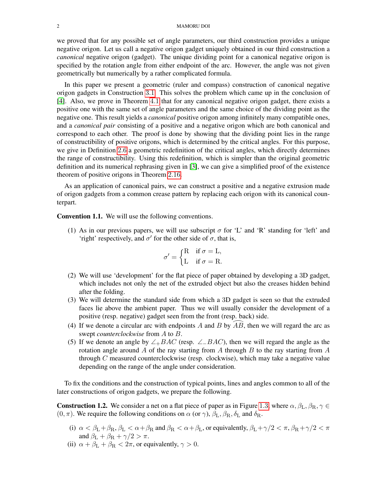we proved that for any possible set of angle parameters, our third construction provides a unique negative origon. Let us call a negative origon gadget uniquely obtained in our third construction a *canonical* negative origon (gadget). The unique dividing point for a canonical negative origon is specified by the rotation angle from either endpoint of the arc. However, the angle was not given geometrically but numerically by a rather complicated formula.

In this paper we present a geometric (ruler and compass) construction of canonical negative origon gadgets in Construction [3](#page-11-0).1. This solves the problem which came up in the conclusion of [\[4\]](#page-16-2). Also, we prove in Theorem [4](#page-14-0).1 that for any canonical negative origon gadget, there exists a positive one with the same set of angle parameters and the same choice of the dividing point as the negative one. This result yields a *canonical* positive origon among infinitely many compatible ones, and a *canonical pair* consisting of a positive and a negative origon which are both canonical and correspond to each other. The proof is done by showing that the dividing point lies in the range of constructibility of positive origons, which is determined by the critical angles. For this purpose, we give in Definition [2](#page-5-0).6 a geometric redefinition of the critical angles, which directly determines the range of constructibility. Using this redefinition, which is simpler than the original geometric definition and its numerical rephrasing given in [\[3\]](#page-16-1), we can give a simplified proof of the existence theorem of positive origons in Theorem 2.[16](#page-10-0).

As an application of canonical pairs, we can construct a positive and a negative extrusion made of origon gadgets from a common crease pattern by replacing each origon with its canonical counterpart.

<span id="page-1-0"></span>Convention 1.1. We will use the following conventions.

(1) As in our previous papers, we will use subscript  $\sigma$  for 'L' and 'R' standing for 'left' and 'right' respectively, and  $\sigma'$  for the other side of  $\sigma$ , that is,

$$
\sigma' = \begin{cases} R & \text{if } \sigma = L, \\ L & \text{if } \sigma = R. \end{cases}
$$

- (2) We will use 'development' for the flat piece of paper obtained by developing a 3D gadget, which includes not only the net of the extruded object but also the creases hidden behind after the folding.
- (3) We will determine the standard side from which a 3D gadget is seen so that the extruded faces lie above the ambient paper. Thus we will usually consider the development of a positive (resp. negative) gadget seen from the front (resp. back) side.
- (4) If we denote a circular arc with endpoints A and B by  $\overline{AB}$ , then we will regard the arc as swept *counterclockwise* from A to B.
- (5) If we denote an angle by  $\angle$ + $BAC$  (resp.  $\angle$ − $BAC$ ), then we will regard the angle as the rotation angle around A of the ray starting from A through B to the ray starting from A through  $C$  measured counterclockwise (resp. clockwise), which may take a negative value depending on the range of the angle under consideration.

To fix the conditions and the construction of typical points, lines and angles common to all of the later constructions of origon gadgets, we prepare the following.

<span id="page-1-1"></span>**Construction [1](#page-2-0).2.** We consider a net on a flat piece of paper as in Figure 1.3, where  $\alpha$ ,  $\beta_L$ ,  $\beta_R$ ,  $\gamma \in$  $(0, \pi)$ . We require the following conditions on  $\alpha$  (or  $\gamma$ ),  $\beta_L$ ,  $\beta_R$ ,  $\delta_L$  and  $\delta_R$ .

- (i)  $\alpha < \beta_L + \beta_R$ ,  $\beta_L < \alpha + \beta_R$  and  $\beta_R < \alpha + \beta_L$ , or equivalently,  $\beta_L + \gamma/2 < \pi$ ,  $\beta_R + \gamma/2 < \pi$ and  $\beta_{\rm L} + \beta_{\rm R} + \gamma/2 > \pi$ .
- (ii)  $\alpha + \beta_{\rm L} + \beta_{\rm R} < 2\pi$ , or equivalently,  $\gamma > 0$ .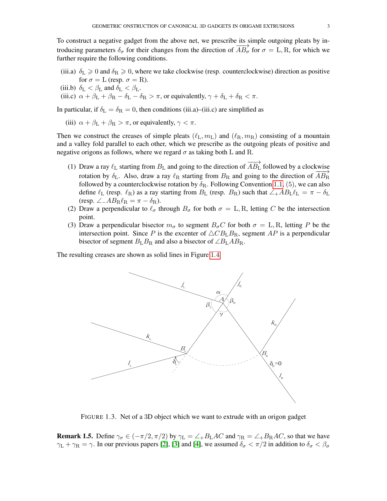To construct a negative gadget from the above net, we prescribe its simple outgoing pleats by introducing parameters  $\delta_{\sigma}$  for their changes from the direction of  $\overline{AB}_{\sigma}$  for  $\sigma = \text{L}, \text{R}$ , for which we further require the following conditions.

- (iii.a)  $\delta_{\rm L} \geq 0$  and  $\delta_{\rm R} \geq 0$ , where we take clockwise (resp. counterclockwise) direction as positive for  $\sigma = L$  (resp.  $\sigma = R$ ).
- (iii.b)  $\delta_{\rm L} < \beta_{\rm L}$  and  $\delta_{\rm L} < \beta_{\rm L}$ .
- (iii.c)  $\alpha + \beta_{\rm L} + \beta_{\rm R} \delta_{\rm L} \delta_{\rm R} > \pi$ , or equivalently,  $\gamma + \delta_{\rm L} + \delta_{\rm R} < \pi$ .

In particular, if  $\delta_{\rm L} = \delta_{\rm R} = 0$ , then conditions (iii.a)–(iii.c) are simplified as

(iii)  $\alpha + \beta_L + \beta_R > \pi$ , or equivalently,  $\gamma < \pi$ .

Then we construct the creases of simple pleats  $(\ell_L, m_L)$  and  $(\ell_R, m_R)$  consisting of a mountain and a valley fold parallel to each other, which we prescribe as the outgoing pleats of positive and negative origons as follows, where we regard  $\sigma$  as taking both L and R.

- (1) Draw a ray  $\ell_L$  starting from  $B_L$  and going to the direction of  $\overrightarrow{AB_L}$  followed by a clockwise rotation by δ<sub>L</sub>. Also, draw a ray  $\ell_R$  starting from  $B_R$  and going to the direction of  $\overrightarrow{AB_R}$ followed by a counterclockwise rotation by  $\delta_{\rm R}$ . Following Convention [1](#page-1-0).1, (5), we can also define  $\ell_L$  (resp.  $\ell_R$ ) as a ray starting from  $B_L$  (resp.  $B_R$ ) such that  $\angle_+ AB_L \ell_L = \pi - \delta_L$ (resp. ∠ $\angle$ ABR $\ell_R = \pi - \delta_R$ ).
- (2) Draw a perpendicular to  $\ell_{\sigma}$  through  $B_{\sigma}$  for both  $\sigma = L, R$ , letting C be the intersection point.
- (3) Draw a perpendicular bisector  $m_{\sigma}$  to segment  $B_{\sigma}C$  for both  $\sigma = L, R$ , letting P be the intersection point. Since P is the excenter of  $\triangle C B_L B_R$ , segment AP is a perpendicular bisector of segment  $B_{\rm L}B_{\rm R}$  and also a bisector of  $\angle B_{\rm L}AB_{\rm R}$ .

The resulting creases are shown as solid lines in Figure [1](#page-3-0).4.



<span id="page-2-0"></span>FIGURE 1.3. Net of a 3D object which we want to extrude with an origon gadget

**Remark 1.5.** Define  $\gamma_{\sigma} \in (-\pi/2, \pi/2)$  by  $\gamma_{\rm L} = \angle_{+}B_{\rm L}AC$  and  $\gamma_{\rm R} = \angle_{+}B_{\rm R}AC$ , so that we have  $\gamma_L + \gamma_R = \gamma$ . In our previous papers [\[2\]](#page-16-0), [\[3\]](#page-16-1) and [\[4\]](#page-16-2), we assumed  $\delta_{\sigma} < \pi/2$  in addition to  $\delta_{\sigma} < \beta_{\sigma}$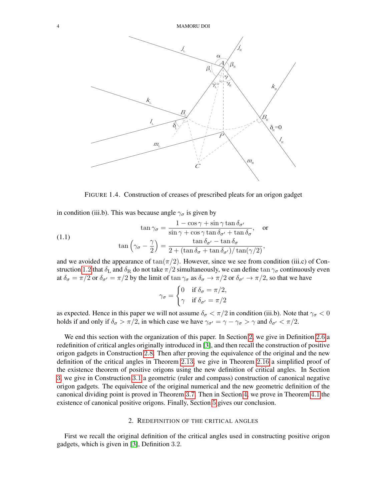

<span id="page-3-2"></span><span id="page-3-0"></span>FIGURE 1.4. Construction of creases of prescribed pleats for an origon gadget

in condition (iii.b). This was because angle  $\gamma_{\sigma}$  is given by

(1.1) 
$$
\tan \gamma_{\sigma} = \frac{1 - \cos \gamma + \sin \gamma \tan \delta_{\sigma'}}{\sin \gamma + \cos \gamma \tan \delta_{\sigma'} + \tan \delta_{\sigma}}, \text{ or}
$$

$$
\tan \left( \gamma_{\sigma} - \frac{\gamma}{2} \right) = \frac{\tan \delta_{\sigma'} - \tan \delta_{\sigma}}{2 + (\tan \delta_{\sigma} + \tan \delta_{\sigma'})/\tan(\gamma/2)},
$$

and we avoided the appearance of  $tan(\pi/2)$ . However, since we see from condition (iii.c) of Con-struction [1](#page-1-1).2 that  $\delta_L$  and  $\delta_R$  do not take  $\pi/2$  simultaneously, we can define tan  $\gamma_\sigma$  continuously even at  $\delta_{\sigma} = \pi/2$  or  $\delta_{\sigma'} = \pi/2$  by the limit of tan  $\gamma_{\sigma}$  as  $\delta_{\sigma} \to \pi/2$  or  $\delta_{\sigma'} \to \pi/2$ , so that we have

$$
\gamma_{\sigma} = \begin{cases} 0 & \text{if } \delta_{\sigma} = \pi/2, \\ \gamma & \text{if } \delta_{\sigma'} = \pi/2 \end{cases}
$$

as expected. Hence in this paper we will not assume  $\delta_{\sigma} < \pi/2$  in condition (iii.b). Note that  $\gamma_{\sigma} < 0$ holds if and only if  $\delta_{\sigma} > \pi/2$ , in which case we have  $\gamma_{\sigma'} = \gamma - \gamma_{\sigma} > \gamma$  and  $\delta_{\sigma'} < \pi/2$ .

We end this section with the organization of this paper. In Section [2](#page-3-1), we give in Definition [2](#page-5-0).6 a redefinition of critical angles originally introduced in [\[3\]](#page-16-1), and then recall the construction of positive origon gadgets in Construction [2](#page-6-0).8. Then after proving the equivalence of the original and the new definition of the critical angles in Theorem 2.[13](#page-9-0), we give in Theorem 2.[16](#page-10-0) a simplified proof of the existence theorem of positive origons using the new definition of critical angles. In Section [3](#page-11-1), we give in Construction [3](#page-11-0).1 a geometric (ruler and compass) construction of canonical negative origon gadgets. The equivalence of the original numerical and the new geometric definition of the canonical dividing point is proved in Theorem [3](#page-13-0).7. Then in Section [4](#page-14-1), we prove in Theorem [4](#page-14-0).1 the existence of canonical positive origons. Finally, Section [5](#page-16-5) gives our conclusion.

# 2. REDEFINITION OF THE CRITICAL ANGLES

<span id="page-3-1"></span>First we recall the original definition of the critical angles used in constructing positive origon gadgets, which is given in [\[3\]](#page-16-1), Definition 3.2.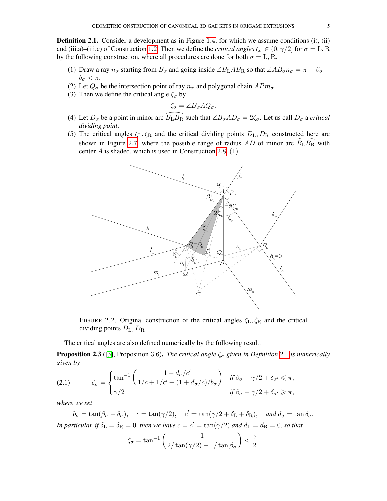<span id="page-4-0"></span>**Definition 2.[1](#page-3-0).** Consider a development as in Figure 1.4, for which we assume conditions (i), (ii) and (iii.a)–(iii.c) of Construction [1](#page-1-1).2. Then we define the *critical angles*  $\zeta_{\sigma} \in (0, \gamma/2]$  for  $\sigma = L, R$ by the following construction, where all procedures are done for both  $\sigma = L, R$ .

- (1) Draw a ray  $n_{\sigma}$  starting from  $B_{\sigma}$  and going inside ∠ $B_{\rm L}AB_{\rm R}$  so that ∠ $AB_{\sigma}n_{\sigma} = \pi \beta_{\sigma} +$  $\delta_{\sigma} < \pi$ .
- (2) Let  $Q_{\sigma}$  be the intersection point of ray  $n_{\sigma}$  and polygonal chain  $APm_{\sigma}$ .
- (3) Then we define the critical angle  $\zeta_{\sigma}$  by

$$
\zeta_\sigma = \angle B_\sigma A Q_\sigma.
$$

- (4) Let  $D_{\sigma}$  be a point in minor arc  $\widehat{B_{\text{L}}B_{\text{R}}}$  such that  $\angle B_{\sigma}AD_{\sigma} = 2\zeta_{\sigma}$ . Let us call  $D_{\sigma}$  a *critical dividing point*.
- (5) The critical angles  $\zeta_L, \zeta_R$  and the critical dividing points  $D_L, D_R$  constructed here are shown in Figure [2](#page-7-0).7, where the possible range of radius  $AD$  of minor arc  $B_{\rm L}B_{\rm R}$  with ted here are  $\stackrel{\frown}{B_{\text{L}}B_{\text{R}}}$  with center A is shaded, which is used in Construction [2](#page-6-0).8, (1).



FIGURE 2.2. Original construction of the critical angles  $\zeta_L, \zeta_R$  and the critical dividing points  $D_{\rm L}, D_{\rm R}$ 

The critical angles are also defined numerically by the following result.

<span id="page-4-1"></span>**Proposition [2](#page-4-0).3** ([\[3\]](#page-16-1), Proposition 3.6). *The critical angle*  $\zeta_{\sigma}$  *given in Definition* 2.1 *is numerically given by*

<span id="page-4-2"></span>(2.1) 
$$
\zeta_{\sigma} = \begin{cases} \tan^{-1} \left( \frac{1 - d_{\sigma}/c'}{1/c + 1/c' + (1 + d_{\sigma}/c)/b_{\sigma}} \right) & \text{if } \beta_{\sigma} + \gamma/2 + \delta_{\sigma'} \leq \pi, \\ \gamma/2 & \text{if } \beta_{\sigma} + \gamma/2 + \delta_{\sigma'} \geq \pi, \end{cases}
$$

*where we set*

 $b_{\sigma} = \tan(\beta_{\sigma} - \delta_{\sigma}), \quad c = \tan(\gamma/2), \quad c' = \tan(\gamma/2 + \delta_{\rm L} + \delta_{\rm R}), \quad \text{and } d_{\sigma} = \tan \delta_{\sigma}.$ *In particular, if*  $\delta_{\text{L}} = \delta_{\text{R}} = 0$ *, then we have*  $c = c' = \tan(\gamma/2)$  *and*  $d_{\text{L}} = d_{\text{R}} = 0$ *, so that* 

$$
\zeta_{\sigma} = \tan^{-1}\left(\frac{1}{2/\tan(\gamma/2) + 1/\tan\beta_{\sigma}}\right) < \frac{\gamma}{2}.
$$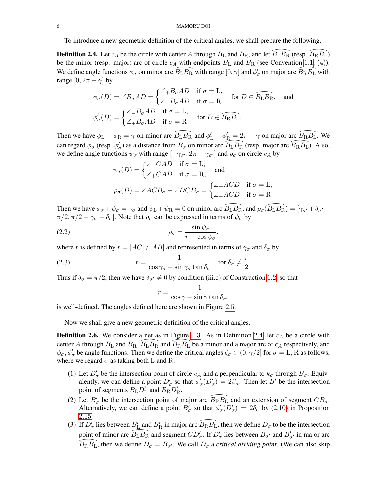#### 6 MAMORU DOI

To introduce a new geometric definition of the critical angles, we shall prepare the following.

<span id="page-5-1"></span>To introduce a new geometric definition of the critical angles, we shall prepare the following.<br>Definition 2.4. Let  $c_A$  be the circle with center A through  $B_L$  and  $B_R$ , and let  $\widehat{B_L B_R}$  (resp.  $\widehat{B_R B_L}$ ) be the minor (resp. major) arc of circle  $c_A$  with endpoints  $B_L$  and  $B_R$  (see Convention 1.1, (4)). We define angle functions  $\phi_\sigma$  on minor arc  $\widehat{B}_{\rm L} \widehat{B_{\rm R}}$  with range  $[0, \gamma]$  and  $\phi'_\sigma$  on major arc ther A through  $B_L$  $B_L$  $B_L$  and  $B_R$ , and let  $B_L B_R$  (resp.  $B_R B_L$ )<br>  $\overline{B_L} B_R$  with range  $[0, \gamma]$  and  $\phi'_\sigma$  on major arc  $\overline{B_R} B_L$  with range  $[0, 2\pi - \gamma]$  by

$$
-\gamma|\text{ by}
$$
\n
$$
\phi_{\sigma}(D) = \angle B_{\sigma}AD = \begin{cases}\n\angle_{+}B_{\sigma}AD & \text{if } \sigma = \text{L}, \\
\angle_{-}B_{\sigma}AD & \text{if } \sigma = \text{R}\n\end{cases} \text{ for } D \in \widehat{B_{\text{L}}}B_{\text{R}}, \text{ and}
$$
\n
$$
\phi_{\sigma}'(D) = \begin{cases}\n\angle_{-}B_{\sigma}AD & \text{if } \sigma = \text{L}, \\
\angle_{+}B_{\sigma}AD & \text{if } \sigma = \text{R}\n\end{cases} \text{ for } D \in \widehat{B_{\text{R}}}B_{\text{L}}.
$$

Then we have  $\phi_L + \phi_R = \gamma$  on minor arc  $\widehat{B_L B_R}$  and  $\phi'_L + \phi'_R = 2\pi - \gamma$  on major arc  $\widehat{B_R B_L}$ . We can regard  $\phi_{\sigma}$  (resp.  $\phi'_{\sigma}$ ) as a distance from  $B_{\sigma}$  on minor arc  $\overline{B_{\rm L}}B_{\rm R} = 2\pi - \gamma$  on major arc  $\widehat{B_{\rm R}}B_{\rm L}$ . We  $\widehat{B_{\rm L}}B_{\rm R}$  (resp. major arc  $\widehat{B_{\rm R}}B_{\rm L}$ ). Also, we define angle functions  $\psi_{\sigma}$  with range  $[-\gamma_{\sigma'}, 2\pi - \gamma_{\sigma'}]$  and  $\rho_{\sigma}$  on circle  $c_A$  by

$$
\psi_{\sigma}(D) = \begin{cases}\n\angle_{-CAD} & \text{if } \sigma = \text{L}, \\
\angle_{+CAD} & \text{if } \sigma = \text{R},\n\end{cases}
$$
 and  

$$
\rho_{\sigma}(D) = \angle ACB_{\sigma} - \angle DCB_{\sigma} = \begin{cases}\n\angle_{+ACD} & \text{if } \sigma = \text{L}, \\
\angle_{-ACD} & \text{if } \sigma = \text{R}.\n\end{cases}
$$

 $p_{\sigma}(D) = \angle ACD_{\sigma} = \angle DCD_{\sigma} - \angle ACD$  if  $\sigma = R$ .<br>Then we have  $\phi_{\sigma} + \psi_{\sigma} = \gamma_{\sigma}$  and  $\psi_{\rm L} + \psi_{\rm R} = 0$  on minor arc  $\widehat{B_{\rm L}B_{\rm R}}$ , and  $\rho_{\sigma}(\widehat{B_{\rm L}B_{\rm R}}) = [\gamma_{\sigma'} + \delta_{\sigma'} - \gamma_{\sigma'}]$  $\pi/2, \pi/2 - \gamma_{\sigma} - \delta_{\sigma}$ . Note that  $\rho_{\sigma}$  can be expressed in terms of  $\psi_{\sigma}$  by

<span id="page-5-2"></span>.

$$
\rho_{\sigma} = \frac{\sin \psi_{\sigma}}{r - \cos \psi_{\sigma}}
$$

where r is defined by  $r = |AC| / |AB|$  and represented in terms of  $\gamma_{\sigma}$  and  $\delta_{\sigma}$  by

(2.3) 
$$
r = \frac{1}{\cos \gamma_{\sigma} - \sin \gamma_{\sigma} \tan \delta_{\sigma}} \quad \text{for } \delta_{\sigma} \neq \frac{\pi}{2}.
$$

Thus if  $\delta_{\sigma} = \pi/2$ , then we have  $\delta_{\sigma'} \neq 0$  by condition (iii.c) of Construction [1](#page-1-1).2, so that

<span id="page-5-3"></span>
$$
r=\frac{1}{\cos\gamma-\sin\gamma\tan\delta_{\sigma'}}
$$

is well-defined. The angles defined here are shown in Figure [2](#page-6-1).5.

Now we shall give a new geometric definition of the critical angles.

<span id="page-5-0"></span>**Definition [2](#page-5-1).6.** We consider a net as in Figure [1](#page-2-0).3. As in Definition 2.4, let  $c<sub>A</sub>$  be a circle with **Definition 2.6.** We consider a net as in Figure 1.3. As in Definition 2.4, let  $c_A$  be a circle with center A through  $B_L$  and  $B_R$ ,  $\widehat{B_L B_R}$  and  $\widehat{B_R B_L}$  be a minor and a major arc of  $c_A$  respectively, and  $\phi_{\sigma}$ ,  $\phi'_{\sigma}$  be angle functions. Then we define the critical angles  $\zeta_{\sigma} \in (0, \gamma/2]$  for  $\sigma = L$ , R as follows, where we regard  $\sigma$  as taking both L and R.

- (1) Let  $D'_{\sigma}$  be the intersection point of circle  $c_A$  and a perpendicular to  $k_{\sigma}$  through  $B_{\sigma}$ . Equivalently, we can define a point  $D'_{\sigma}$  so that  $\phi'_{\sigma}(D'_{\sigma}) = 2\beta_{\sigma}$ . Then let  $B'$  be the intersection point of segments  $B_{\rm L}D_{\rm L}'$  and  $B_{\rm R}D_{\rm R}'$ . atently, we can define a point  $D_{\sigma}$  so that  $\varphi_{\sigma}(D_{\sigma}) = 2\rho_{\sigma}$ . Then let  $D$  be the intersection<br>point of segments  $B_{\rm L}D_{\rm L}'$  and  $B_{\rm R}D_{\rm R}'$ .<br>(2) Let  $B_{\sigma}'$  be the intersection point of major arc  $\widehat{B_{\$
- Alternatively, we can define a point  $B'_{\sigma}$  so that  $\phi'_{\sigma}(D'_{\sigma}) = 2\delta_{\sigma}$  by [\(2.10\)](#page-9-1) in Proposition 2.[15](#page-9-2). Alternatively, we can define a point  $B'_{\sigma}$  so that  $\phi'_{\sigma}(D'_{\sigma}) = 2\delta_{\sigma}$  by (2.10) in Proposition 2.15.<br>(3) If  $D'_{\sigma}$  lies between  $B'_{\underline{L}}$  and  $B'_{\underline{R}}$  in major arc  $\widehat{B_R B_L}$ , then we define  $D_{\sigma}$  to be t
- If  $D'_{\sigma}$  lies between  $B'_{\rm L}$  and  $B'_{\rm R}$  in major arc  $\widehat{B_{\rm R}B_{\rm L}}$ , then we define  $D_{\sigma}$  to be the intersection point of minor arc  $\widehat{B_{\rm L}B_{\rm R}}$  and segment  $CD'_{\sigma}$ . If  $D'_{\sigma}$  lies between  $B_{\sigma'}$  point of minor arc  $B_L B_R$  and segment  $CD'_\sigma$ . If  $D'_\sigma$  lies between  $B_{\sigma'}$  and  $B'_{\sigma'}$  in major arc  $\widehat{B_R B_L}$ , then we define  $D_\sigma = B_{\sigma'}$ . We call  $D_\sigma$  a *critical dividing point*. (We can also skip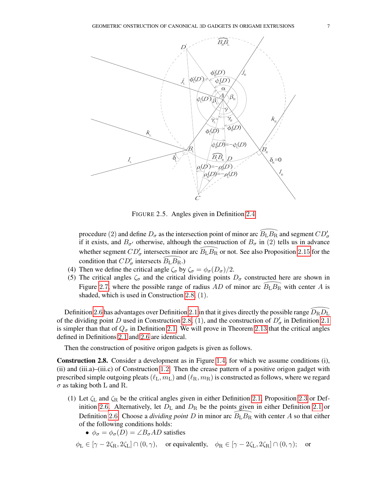

<span id="page-6-1"></span>FIGURE 2.5. Angles given in Definition [2](#page-5-1).4

procedure (2) and define  $D_{\sigma}$  as the intersection point of minor arc  $\widehat{B_{\text{L}}B_{\text{R}}}$  and segment  $CD'_{\sigma}$ if it exists, and  $B_{\sigma}$  otherwise, although the construction of  $B_{\sigma}$  in (2) tells us in advance procedure (2) and define  $D_{\sigma}$  as the intersection point of minor arc  $B_{\text{L}}B_{\text{R}}$  and segment  $CD_{\sigma}$  if it exists, and  $B_{\sigma'}$  otherwise, although the construction of  $B_{\sigma}$  in (2) tells us in advance whether seg condition that  $CD'_{\sigma}$  intersects  $\frac{\text{atmou}}{\text{B}_{\text{L}}\text{B}_{\text{R}}.}$ 

- (4) Then we define the critical angle  $\zeta_{\sigma}$  by  $\zeta_{\sigma} = \phi_{\sigma}(D_{\sigma})/2$ .
- (5) The critical angles  $\zeta_{\sigma}$  and the critical dividing points  $D_{\sigma}$  constructed here are shown in Figure [2](#page-7-0).7, where the possible range of radius AD of minor arc  $B_{\rm L}B_{\rm R}$  with center A is ucted here are shown in<br> $\widehat{B_{\text{L}}B_{\text{R}}}$  with center A is shaded, which is used in Construction [2](#page-6-0).8, (1).

shaded, which is used in Construction [2](#page-4-0).8, (1).<br>Definition 2.6 has advantages over Definition 2.1 in that it gives directly the possible range  $\widehat{D}_{\rm R} \widehat{D}_{\rm L}$ of the dividing point D used in Construction [2](#page-4-0).8, (1), and the construction of  $D'_{\sigma}$  in Definition 2.1 is simpler than that of  $Q_{\sigma}$  in Definition [2](#page-4-0).1. We will prove in Theorem 2.[13](#page-9-0) that the critical angles defined in Definitions [2](#page-4-0).1 and [2](#page-5-0).6 are identical.

Then the construction of positive origon gadgets is given as follows.

<span id="page-6-0"></span>Construction 2.8. Consider a development as in Figure [1](#page-3-0).4, for which we assume conditions (i), (ii) and (iii.a)–(iii.c) of Construction [1](#page-1-1).2. Then the crease pattern of a positive origon gadget with prescribed simple outgoing pleats  $(\ell_L, m_L)$  and  $(\ell_R, m_R)$  is constructed as follows, where we regard  $\sigma$  as taking both L and R.

- (1) Let  $\zeta_L$  and  $\zeta_R$  be the critical angles given in either Definition [2](#page-4-1).1, Proposition 2.3 or Def-inition [2](#page-4-0).6. Alternatively, let  $D_{\rm L}$  and  $D_{\rm R}$  be the points given in either Definition 2.1 or Definition [2](#page-5-0).6. Choose a *dividing point* D in minor arc  $B_{\rm L}B_{\rm R}$  with center A so that either mition 2.1, Proposition 2.3 or Def-<br>ts given in either Definition 2.1 or<br> $B_{\rm L}B_{\rm R}$  with center A so that either of the following conditions holds:
	- $\phi_{\sigma} = \phi_{\sigma}(D) = \angle B_{\sigma}AD$  satisfies

$$
\phi_{\mathbf{L}} \in [\gamma - 2\zeta_{\mathbf{R}}, 2\zeta_{\mathbf{L}}] \cap (0, \gamma), \text{ or equivalently, } \phi_{\mathbf{R}} \in [\gamma - 2\zeta_{\mathbf{L}}, 2\zeta_{\mathbf{R}}] \cap (0, \gamma); \text{ or}
$$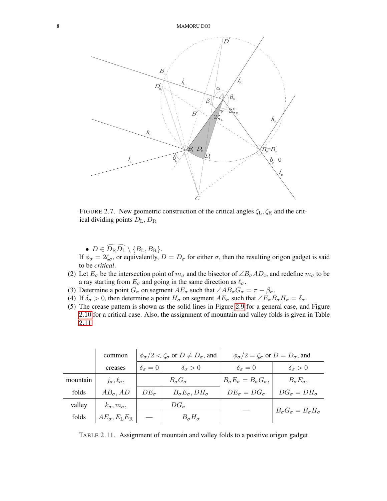

<span id="page-7-0"></span>FIGURE 2.7. New geometric construction of the critical angles  $\zeta_L$ ,  $\zeta_R$  and the critical dividing points  $D_{\rm L}, D_{\rm R}$ 

•  $D \in \widehat{D_{\rm R}D_{\rm L}} \setminus \{B_{\rm L}, B_{\rm R}\}.$ 

If  $\phi_{\sigma} = 2\zeta_{\sigma}$ , or equivalently,  $D = D_{\sigma}$  for either  $\sigma$ , then the resulting origon gadget is said to be *critical*.

- (2) Let  $E_{\sigma}$  be the intersection point of  $m_{\sigma}$  and the bisector of  $\angle B_{\sigma}AD_{c}$ , and redefine  $m_{\sigma}$  to be a ray starting from  $E_{\sigma}$  and going in the same direction as  $\ell_{\sigma}$ .
- (3) Determine a point  $G_{\sigma}$  on segment  $AE_{\sigma}$  such that  $\angle AB_{\sigma}G_{\sigma} = \pi \beta_{\sigma}$ .
- (4) If  $\delta_{\sigma} > 0$ , then determine a point  $H_{\sigma}$  on segment  $AE_{\sigma}$  such that  $\angle E_{\sigma}B_{\sigma}H_{\sigma} = \delta_{\sigma}$ .
- (5) The crease pattern is shown as the solid lines in Figure [2](#page-8-0).9 for a general case, and Figure 2.[10](#page-8-1) for a critical case. Also, the assignment of mountain and valley folds is given in Table 2.[11](#page-7-1).

|          | common                            | $\phi_{\sigma}/2 < \zeta_{\sigma}$ or $D \neq D_{\sigma}$ , and |                                         | $\phi_{\sigma}/2 = \zeta_{\sigma}$ or $D = D_{\sigma}$ , and |                                             |
|----------|-----------------------------------|-----------------------------------------------------------------|-----------------------------------------|--------------------------------------------------------------|---------------------------------------------|
|          | creases                           | $\delta_{\sigma}=0$                                             | $\delta_{\sigma} > 0$                   | $\delta_{\sigma}=0$                                          | $\delta_{\sigma} > 0$                       |
| mountain | $j_{\sigma}, \ell_{\sigma},$      | $B_{\sigma}G_{\sigma}$                                          |                                         | $B_{\sigma}E_{\sigma}=B_{\sigma}G_{\sigma}$ ,                | $B_{\sigma}E_{\sigma}$ ,                    |
| folds    | $AB_{\sigma}$ , AD                | $DE_{\sigma}$                                                   | $B_{\sigma}E_{\sigma}$ , DH $_{\sigma}$ | $DE_{\sigma} = DG_{\sigma}$                                  | $DG_{\sigma} = DH_{\sigma}$                 |
| valley   | $k_{\sigma}, m_{\sigma},$         | $DG_{\sigma}$                                                   |                                         |                                                              | $B_{\sigma}G_{\sigma}=B_{\sigma}H_{\sigma}$ |
| folds    | $AE_{\sigma}, E_{\rm L}E_{\rm R}$ |                                                                 | $B_{\sigma}H_{\sigma}$                  |                                                              |                                             |

<span id="page-7-1"></span>TABLE 2.11. Assignment of mountain and valley folds to a positive origon gadget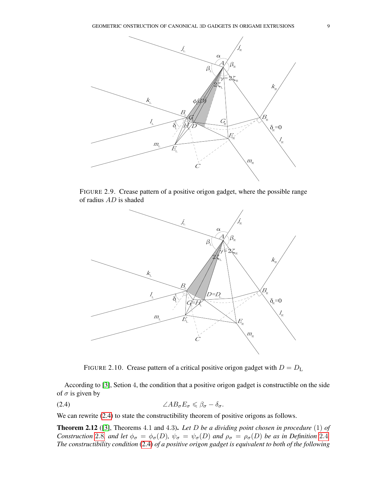

FIGURE 2.9. Crease pattern of a positive origon gadget, where the possible range of radius AD is shaded

<span id="page-8-0"></span>

<span id="page-8-2"></span><span id="page-8-1"></span>FIGURE 2.10. Crease pattern of a critical positive origon gadget with  $D = D_{\rm L}$ 

According to [\[3\]](#page-16-1), Setion 4, the condition that a positive origon gadget is constructible on the side of  $\sigma$  is given by

$$
\angle AB_{\sigma}E_{\sigma}\leq \beta_{\sigma}-\delta_{\sigma}.
$$

We can rewrite  $(2.4)$  to state the constructibility theorem of positive origons as follows.

<span id="page-8-3"></span>Theorem 2.12 ([\[3\]](#page-16-1), Theorems 4.1 and 4.3). *Let* D *be a dividing point chosen in procedure* (1) *of Construction* [2](#page-5-1).8*, and let*  $\phi_{\sigma} = \phi_{\sigma}(D)$ *,*  $\psi_{\sigma} = \psi_{\sigma}(D)$  *and*  $\rho_{\sigma} = \rho_{\sigma}(D)$  *be as in Definition* 2.4*. The constructibility condition* [\(2.4\)](#page-8-2) *of a positive origon gadget is equivalent to both of the following*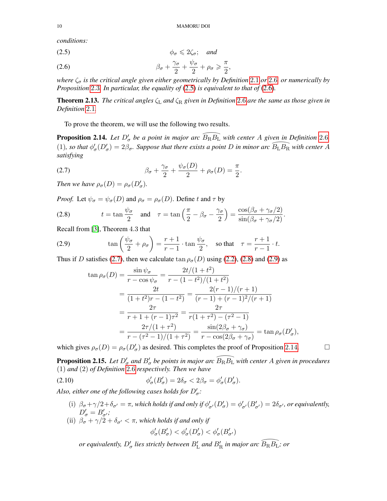*conditions:*

<span id="page-9-3"></span>
$$
\phi_{\sigma} \leqslant 2\zeta_{\sigma}; \quad \text{and}
$$

<span id="page-9-4"></span>(2.6) 
$$
\beta_{\sigma} + \frac{\gamma_{\sigma}}{2} + \frac{\psi_{\sigma}}{2} + \rho_{\sigma} \geqslant \frac{\pi}{2},
$$

*where* ζ<sup>σ</sup> *is the critical angle given either geometrically by Definition* [2](#page-4-0).1 *or* [2](#page-5-0).6*, or numerically by Proposition* [2](#page-4-1).3*. In particular, the equality of* [\(2.5\)](#page-9-3) *is equivalent to that of* [\(2.6\)](#page-9-4)*.*

<span id="page-9-0"></span>Theorem 2.13. *The critical angles* ζ<sup>L</sup> *and* ζ<sup>R</sup> *given in Definition* [2](#page-5-0).6 *are the same as those given in Definition* [2](#page-4-0).1*.*

To prove the theorem, we will use the following two results.

<span id="page-9-8"></span>To prove the theorem, we will use the following two results.<br>**Proposition [2](#page-5-0).14.** *Let*  $D'_{\sigma}$  *be a point in major arc*  $\widehat{B_R B_L}$  *with center A given in Definition* 2.6*,* **Proposition 2.14.** Let  $D'_{\sigma}$  be a point in major arc  $\widehat{B_R B_L}$  with center A given in Definition 2.6, (1), so that  $\phi'_{\sigma}(D'_{\sigma}) = 2\beta_{\sigma}$ . Suppose that there exists a point D in minor arc  $\widehat{B_L B_R}$  with center A *satisfying*

.

<span id="page-9-5"></span>(2.7) 
$$
\beta_{\sigma} + \frac{\gamma_{\sigma}}{2} + \frac{\psi_{\sigma}(D)}{2} + \rho_{\sigma}(D) = \frac{\pi}{2}
$$

*Then we have*  $\rho_{\sigma}(D) = \rho_{\sigma}(D'_{\sigma}).$ 

*Proof.* Let  $\psi_{\sigma} = \psi_{\sigma}(D)$  and  $\rho_{\sigma} = \rho_{\sigma}(D)$ . Define t and  $\tau$  by

<span id="page-9-6"></span>(2.8) 
$$
t = \tan \frac{\psi_{\sigma}}{2} \quad \text{and} \quad \tau = \tan \left( \frac{\pi}{2} - \beta_{\sigma} - \frac{\gamma_{\sigma}}{2} \right) = \frac{\cos(\beta_{\sigma} + \gamma_{\sigma}/2)}{\sin(\beta_{\sigma} + \gamma_{\sigma}/2)}.
$$

Recall from [\[3\]](#page-16-1), Theorem 4.3 that

(2.9) 
$$
\tan\left(\frac{\psi_{\sigma}}{2} + \rho_{\sigma}\right) = \frac{r+1}{r-1} \cdot \tan\frac{\psi_{\sigma}}{2}, \text{ so that } \tau = \frac{r+1}{r-1} \cdot t.
$$

Thus if D satisfies [\(2.7\)](#page-9-5), then we calculate  $\tan \rho_{\sigma}(D)$  using [\(2.2\)](#page-5-2), [\(2.8\)](#page-9-6) and [\(2.9\)](#page-9-7) as

<span id="page-9-7"></span>
$$
\tan \rho_{\sigma}(D) = \frac{\sin \psi_{\sigma}}{r - \cos \psi_{\sigma}} = \frac{2t/(1+t^2)}{r - (1-t^2)/(1+t^2)}
$$
  
= 
$$
\frac{2t}{(1+t^2)r - (1-t^2)} = \frac{2(r-1)/(r+1)}{(r-1) + (r-1)^2/(r+1)}
$$
  
= 
$$
\frac{2\tau}{r+1 + (r-1)\tau^2} = \frac{2\tau}{r(1+\tau^2) - (1-\tau^2)}
$$
  
= 
$$
\frac{2\tau}{r - (1-\tau^2)} = \frac{\sin(2\beta_{\sigma} + \gamma_{\sigma})}{r - \cos(2\beta_{\sigma} + \gamma_{\sigma})} = \tan \rho_{\sigma}(D_{\sigma}'),
$$

which gives  $\rho_{\sigma}(D) = \rho_{\sigma}(D'_{\sigma})$  as desired. This completes the proof of Proposition 2.[14](#page-9-8).

<span id="page-9-2"></span>which gives  $\rho_{\sigma}(D) = \rho_{\sigma}(D'_{\sigma})$  as desired. This completes the proof of Proposition 2.14.  $\Box$ <br>**Proposition 2.15.** *Let*  $D'_{\sigma}$  *and*  $B'_{\sigma}$  *be points in major arc*  $\widehat{B_R B_L}$  *with center A given in procedure* (1) *and* (2) *of Definition* [2](#page-5-0).6 *respectively. Then we have*

(2.10) 
$$
\phi'_{\sigma}(B'_{\sigma}) = 2\delta_{\sigma} < 2\beta_{\sigma} = \phi'_{\sigma}(D'_{\sigma}).
$$

Also, either one of the following cases holds for  $D'_\sigma$ :

- (i)  $\beta_{\sigma} + \gamma/2 + \delta_{\sigma'} = \pi$ , which holds if and only if  $\phi'_{\sigma'}(D'_{\sigma}) = \phi'_{\sigma'}(B'_{\sigma'}) = 2\delta_{\sigma'}$ , or equivalently,  $D'_{\sigma} = B'_{\sigma'};$
- (ii)  $\beta_{\sigma} + \gamma/2 + \delta_{\sigma'} < \pi$ , which holds if and only if

<span id="page-9-1"></span>
$$
\phi'_\sigma(B'_\sigma) < \phi'_\sigma(D'_\sigma) < \phi'_\sigma(B'_{\sigma'})
$$

 $\phi'_{\sigma}(B'_{\sigma}) < \phi'_{\sigma}(D'_{\sigma}) < \phi'_{\sigma}(B'_{\sigma'})$ <br>*or equivalently,*  $D'_{\sigma}$  lies strictly between  $B'_{\rm L}$  and  $B'_{\rm R}$  in major arc  $\widehat{B_{\rm R}B_{\rm L}}$ ; or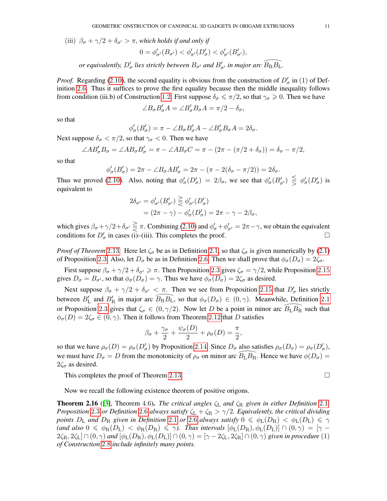(iii)  $\beta_{\sigma} + \gamma/2 + \delta_{\sigma'} > \pi$ , which holds if and only if

$$
0=\phi'_{\sigma'}(B_{\sigma'})<\phi'_{\sigma'}(D'_{\sigma})<\phi'_{\sigma'}(B'_{\sigma'}),
$$

 $0 = \phi'_{\sigma'}(B_{\sigma'}) < \phi'_{\sigma'}(D'_{\sigma}) < \phi'_{\sigma'}(B'_{\sigma'})$ ,<br>or equivalently,  $D'_{\sigma}$  lies strictly between  $B_{\sigma'}$  and  $B'_{\sigma'}$  in major arc  $\widehat{B_R B_L}$ .

*Proof.* Regarding [\(2.10\)](#page-9-1), the second equality is obvious from the construction of  $D'_{\sigma}$  in (1) of Definition [2](#page-5-0).6. Thus it suffices to prove the first equality because then the middle inequality follows from condition (iii.b) of Construction [1](#page-1-1).2. First suppose  $\delta_{\sigma} \le \pi/2$ , so that  $\gamma_{\sigma} \ge 0$ . Then we have

$$
\angle B_{\sigma} B'_{\sigma} A = \angle B'_{\sigma} B_{\sigma} A = \pi/2 - \delta_{\sigma},
$$

so that

$$
\phi'_{\sigma}(B'_{\sigma}) = \pi - \angle B_{\sigma}B'_{\sigma}A - \angle B'_{\sigma}B_{\sigma}A = 2\delta_{\sigma}.
$$

Next suppose  $\delta_{\sigma} < \pi/2$ , so that  $\gamma_{\sigma} < 0$ . Then we have

$$
\angle AB'_{\sigma}B_{\sigma} = \angle AB_{\sigma}B'_{\sigma} = \pi - \angle AB_{\sigma}C = \pi - (2\pi - (\pi/2 + \delta_{\sigma})) = \delta_{\sigma} - \pi/2,
$$

so that

$$
\phi'_{\sigma}(B'_{\sigma}) = 2\pi - \angle B_{\sigma}AB'_{\sigma} = 2\pi - (\pi - 2(\delta_{\sigma} - \pi/2)) = 2\delta_{\sigma}.
$$

Thus we proved [\(2.10\)](#page-9-1). Also, noting that  $\phi'_\sigma(D'_\sigma) = 2\beta_\sigma$ , we see that  $\phi'_\sigma(B'_{\sigma'}) \leq \phi'_\sigma(D'_\sigma)$  is equivalent to

$$
2\delta_{\sigma'} = \phi'_{\sigma'}(B'_{\sigma'}) \geq \phi'_{\sigma'}(D'_{\sigma})
$$
  
=  $(2\pi - \gamma) - \phi'_{\sigma}(D'_{\sigma}) = 2\pi - \gamma - 2\beta_{\sigma},$ 

which gives  $\beta_{\sigma} + \gamma/2 + \delta_{\sigma'} \geq \pi$ . Combining [\(2.10\)](#page-9-1) and  $\phi'_{\sigma} + \phi'_{\sigma'} = 2\pi - \gamma$ , we obtain the equivalent conditions for  $D'_{\sigma}$  in cases (i)–(iii). This completes the proof.

*Proof of Theorem* 2.[13](#page-9-0). Here let  $\zeta_{\sigma}$  be as in Definition [2](#page-4-0).1, so that  $\zeta_{\sigma}$  is given numerically by [\(2.1\)](#page-4-2) of Proposition [2](#page-5-0).3. Also, let  $D_{\sigma}$  be as in Definition 2.6. Then we shall prove that  $\phi_{\sigma}(D_{\sigma}) = 2\zeta_{\sigma}$ .

First suppose  $\beta_{\sigma} + \gamma/2 + \delta_{\sigma'} \ge \pi$  $\beta_{\sigma} + \gamma/2 + \delta_{\sigma'} \ge \pi$  $\beta_{\sigma} + \gamma/2 + \delta_{\sigma'} \ge \pi$ . Then Proposition 2.3 gives  $\zeta_{\sigma} = \gamma/2$ , while Proposition 2.[15](#page-9-2) gives  $D_{\sigma} = B_{\sigma'}$ , so that  $\phi_{\sigma}(D_{\sigma}) = \gamma$ . Thus we have  $\phi_{\sigma}(D_{\sigma}) = 2\zeta_{\sigma}$  as desired.

Next suppose  $\beta_{\sigma} + \gamma/2 + \delta_{\sigma'} < \pi$ . Then we see from Proposition 2.[15](#page-9-2) that  $D'_{\sigma}$  lies strictly Next suppose  $\beta_{\sigma} + \gamma/2 + \delta_{\sigma'} < \pi$  $\beta_{\sigma} + \gamma/2 + \delta_{\sigma'} < \pi$  $\beta_{\sigma} + \gamma/2 + \delta_{\sigma'} < \pi$ . Then we see from Proposition 2.15 that  $D'_{\sigma}$  lies strictly between  $B'_{\rm L}$  and  $B'_{\rm R}$  in major arc  $\widehat{B}_{\rm R}B_{\rm L}$ , so that  $\phi_{\sigma}(D_{\sigma}) \in (0, \gamma)$ . Meanwhile, Definition 2.1 or Proposition [2](#page-4-1).3 gives that  $\zeta_{\sigma} \in (0, \gamma/2)$ . Now let D be a point in minor arc  $\widehat{B}_{L} \widehat{B_{R}}$  such that  $\overline{B_{\rm L}B_{\rm R}}$  such that  $\phi_{\sigma}(D) = 2\zeta_{\sigma} \in (0, \gamma)$ . Then it follows from Theorem 2.[12](#page-8-3) that D satisfies

$$
\beta_{\sigma} + \frac{\gamma_{\sigma}}{2} + \frac{\psi_{\sigma}(D)}{2} + \rho_{\sigma}(D) = \frac{\pi}{2},
$$

so that we have  $\rho_{\sigma}(D) = \rho_{\sigma}(D'_{\sigma})$  by Proposition 2.[14](#page-9-8). Since  $D_{\sigma}$  also satisfies  $\rho_{\sigma}(D_{\sigma}) = \rho_{\sigma}(D'_{\sigma})$ , so that we have  $\rho_{\sigma}(D) = \rho_{\sigma}(D_{\sigma}')$  by Proposition 2.14. Since  $D_{\sigma}$  also satisfies  $\rho_{\sigma}(D_{\sigma}) = \rho_{\sigma}(D_{\sigma}')$ ,<br>we must have  $D_{\sigma} = D$  from the monotonicity of  $\rho_{\sigma}$  on minor arc  $\widehat{B_{\rm L}}\widehat{B_{\rm R}}$ . Hence we ha  $2\zeta_{\sigma}$  as desired.

This completes the proof of Theorem 2.[13](#page-9-0).

$$
\Box
$$

Now we recall the following existence theorem of positive origons.

<span id="page-10-0"></span>**Theorem [2](#page-4-0).16** ([\[3\]](#page-16-1), Theorem 4.6). *The critical angles*  $\zeta_L$  *and*  $\zeta_R$  *given in either Definition* 2.1*, Proposition* [2](#page-5-0).3 *or Definition* 2.6 *always satisfy*  $\zeta_L + \zeta_R > \gamma/2$ *. Equivalently, the critical dividing points*  $D_L$  *and*  $D_R$  *given in Definition* [2](#page-5-0).1 *or* 2.6 *always satisfy*  $0 \le \phi_L(D_R) < \phi_L(D_L) \le \gamma$  $(and also 0 \leq \phi_{\rm R}(D_{\rm L}) < \phi_{\rm R}(D_{\rm R}) \leq \gamma$ ). Thus intervals  $[\phi_{\rm L}(D_{\rm R}), \phi_{\rm L}(D_{\rm L})] \cap (0, \gamma) = [\gamma - \gamma]$  $2\zeta_{\rm R}$ ,  $2\zeta_{\rm L}$   $\cap$   $(0,\gamma)$  *and*  $[\phi_{\rm L}(D_{\rm R}), \phi_{\rm L}(D_{\rm L})] \cap (0,\gamma) = [\gamma - 2\zeta_{\rm L}, 2\zeta_{\rm R}] \cap (0,\gamma)$  *given in procedure* (1) *of Construction* [2](#page-6-0).8 *include infinitely many points.*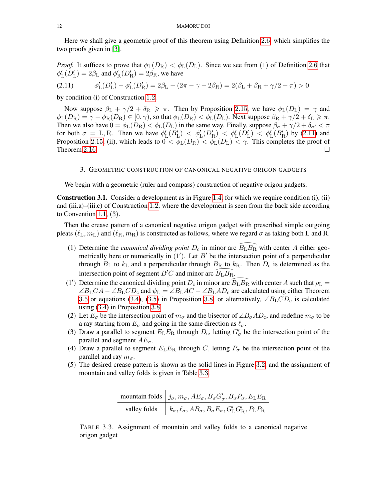Here we shall give a geometric proof of this theorem using Definition [2](#page-5-0).6, which simplifies the two proofs given in [\[3\]](#page-16-1).

*Proof.* It suffices to prove that  $\phi_L(D_R) < \phi_L(D_L)$ . Since we see from (1) of Definition [2](#page-5-0).6 that  $\phi'_{\rm L}(D'_{\rm L}) = 2\beta_{\rm L}$  and  $\phi'_{\rm R}(D'_{\rm R}) = 2\beta_{\rm R}$ , we have

<span id="page-11-2"></span>
$$
(2.11) \t\t \phi'_{L}(D'_{L}) - \phi'_{L}(D'_{R}) = 2\beta_{L} - (2\pi - \gamma - 2\beta_{R}) = 2(\beta_{L} + \beta_{R} + \gamma/2 - \pi) > 0
$$

by condition (i) of Construction [1](#page-1-1).2.

Now suppose  $\beta_L + \gamma/2 + \delta_R \geq \pi$ . Then by Proposition 2.[15](#page-9-2), we have  $\phi_L(D_L) = \gamma$  and  $\phi_L(D_R) = \gamma - \phi_R(D_R) \in [0, \gamma)$ , so that  $\phi_L(D_R) < \phi_L(D_L)$ . Next suppose  $\beta_R + \gamma/2 + \delta_L \ge \pi$ . Then we also have  $0 = \phi_L(D_R) < \phi_L(D_L)$  in the same way. Finally, suppose  $\beta_{\sigma} + \gamma/2 + \delta_{\sigma'} < \pi$ for both  $\sigma = L, R$ . Then we have  $\phi'_{L}(B'_{L}) < \phi'_{L}(D'_{R}) < \phi'_{L}(D'_{L}) < \phi'_{L}(B'_{R})$  by [\(2.11\)](#page-11-2) and Proposition 2.[15](#page-9-2), (ii), which leads to  $0 < \phi_L(D_R) < \phi_L(D_L) < \gamma$ . This completes the proof of Theorem 2.[16](#page-10-0).  $\Box$ 

## 3. GEOMETRIC CONSTRUCTION OF CANONICAL NEGATIVE ORIGON GADGETS

<span id="page-11-1"></span>We begin with a geometric (ruler and compass) construction of negative origon gadgets.

<span id="page-11-0"></span>Construction 3.1. Consider a development as in Figure [1](#page-3-0).4, for which we require condition (i), (ii) and (iii.a)–(iii.c) of Construction [1](#page-1-1).2, where the development is seen from the back side according to Convention [1](#page-1-0).1, (3).

Then the crease pattern of a canonical negative origon gadget with prescribed simple outgoing pleats  $(\ell_L, m_L)$  and  $(\ell_R, m_R)$  is constructed as follows, where we regard  $\sigma$  as taking both L and R.

- ts ( $\ell_L, m_L$ ) and ( $\ell_R, m_R$ ) is constructed as follows, where we regard  $\sigma$  as taking both L and R.<br>(1) Determine the *canonical dividing point*  $D_c$  in minor arc  $\widehat{B_L B_R}$  with center A either geometrically here or numerically in  $(1')$ . Let  $B'$  be the intersection point of a perpendicular through  $B_{\rm L}$  to  $k_{\rm L}$  and a perpendicular through  $B_{\rm R}$  to  $k_{\rm R}$ . Then  $D_{\rm c}$  is determined as the intersection point of segment  $B'C$  and minor arc  $B<sub>L</sub>B<sub>R</sub>$ .  $B_{\rm R}$  to  $k$ <br> $\widehat{B_{\rm L}}\widehat{B_{\rm R}}$ . through  $D_{\rm L}$  to  $\kappa_{\rm L}$  and a perpendicular through  $D_{\rm R}$  to  $\kappa_{\rm R}$ . Then  $D_{\rm c}$  is determined as the intersection point of segment  $B'C$  and minor arc  $\overline{B_{\rm L}}B_{\rm R}$  with center A such that  $\rho_{\rm L}$  =
- $\angle B_{\rm L}CA \angle B_{\rm L}CD_{\rm c}$  and  $\psi_{\rm L} = \angle B_{\rm L}AC \angle B_{\rm L}AD_{\rm c}$  are calculated using either Theorem [3](#page-13-3).5 or equations [\(3.4\)](#page-13-1), [\(3.5\)](#page-13-2) in Proposition 3.8, or alternatively,  $\angle B_{\rm L}CD_{\rm c}$  is calculated using [\(3.4\)](#page-13-1) in Proposition [3](#page-13-3).8.
- (2) Let  $E_{\sigma}$  be the intersection point of  $m_{\sigma}$  and the bisector of  $\angle B_{\sigma}AD_{c}$ , and redefine  $m_{\sigma}$  to be a ray starting from  $E_{\sigma}$  and going in the same direction as  $\ell_{\sigma}$ .
- (3) Draw a parallel to segment  $E_L E_R$  through  $D_c$ , letting  $G'_{\sigma}$  be the intersection point of the parallel and segment  $AE_{\sigma}$ .
- (4) Draw a parallel to segment  $E_{\rm L}E_{\rm R}$  through C, letting  $P_{\sigma}$  be the intersection point of the parallel and ray  $m_{\sigma}$ .
- (5) The desired crease pattern is shown as the solid lines in Figure [3](#page-12-1).2, and the assignment of mountain and valley folds is given in Table [3](#page-11-3).3.

<span id="page-11-3"></span>

| mountain folds $ j_{\sigma}, m_{\sigma}, AE_{\sigma}, B_{\sigma}G'_{\sigma}, B_{\sigma}P_{\sigma}, E_{\rm L}E_{\rm R}$         |
|--------------------------------------------------------------------------------------------------------------------------------|
| valley folds $\Big  k_{\sigma}, \ell_{\sigma}, AB_{\sigma}, B_{\sigma} E_{\sigma}, G'_{\rm L} G'_{\rm R}, P_{\rm L} P_{\rm R}$ |

TABLE 3.3. Assignment of mountain and valley folds to a canonical negative origon gadget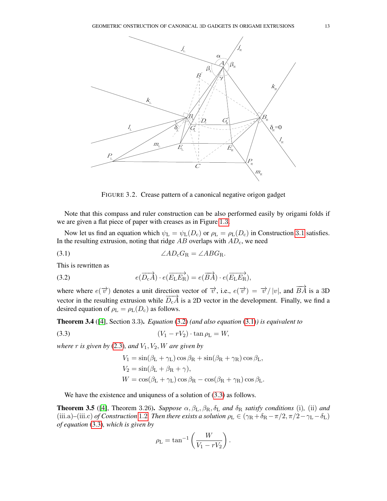

<span id="page-12-3"></span><span id="page-12-1"></span>FIGURE 3.2. Crease pattern of a canonical negative origon gadget

Note that this compass and ruler construction can be also performed easily by origami folds if we are given a flat piece of paper with creases as in Figure [1](#page-2-0).3.

Now let us find an equation which  $\psi_{\rm L} = \psi_{\rm L}(D_{\rm c})$  or  $\rho_{\rm L} = \rho_{\rm L}(D_{\rm c})$  in Construction [3](#page-11-0).1 satisfies. In the resulting extrusion, noting that ridge  $AB$  overlaps with  $AD<sub>c</sub>$ , we need

$$
\angle AD_{\rm c}G_{\rm R} = \angle ABC_{\rm R}.
$$

This is rewritten as

<span id="page-12-2"></span>(3.2) 
$$
e(\overrightarrow{D_{c}A}) \cdot e(\overrightarrow{E_{L}E_{R}}) = e(\overrightarrow{BA}) \cdot e(\overrightarrow{E_{L}E_{R}}),
$$

where where  $e(\vec{v})$  denotes a unit direction vector of  $\vec{v}$ , i.e.,  $e(\vec{v}) = \vec{v}/|v|$ , and  $\overrightarrow{BA}$  is a 3D vector in the resulting extrusion while  $\overline{D_cA}$  is a 2D vector in the development. Finally, we find a desired equation of  $\rho_L = \rho_L(D_c)$  as follows.

Theorem 3.4 ([\[4\]](#page-16-2), Section 3.3). *Equation* [\(3.2\)](#page-12-2) *(and also equation* [\(3.1\)](#page-12-3)*) is equivalent to*

(3.3) (V<sup>1</sup> − rV2) · tan ρ<sup>L</sup> = W,

*where*  $r$  *is given by* [\(2.3\)](#page-5-3)*, and*  $V_1$ ,  $V_2$ ,  $W$  *are given by* 

<span id="page-12-4"></span>
$$
V_1 = \sin(\beta_{\rm L} + \gamma_{\rm L})\cos\beta_{\rm R} + \sin(\beta_{\rm R} + \gamma_{\rm R})\cos\beta_{\rm L},
$$
  
\n
$$
V_2 = \sin(\beta_{\rm L} + \beta_{\rm R} + \gamma),
$$
  
\n
$$
W = \cos(\beta_{\rm L} + \gamma_{\rm L})\cos\beta_{\rm R} - \cos(\beta_{\rm R} + \gamma_{\rm R})\cos\beta_{\rm L}.
$$

We have the existence and uniquess of a solution of  $(3.3)$  as follows.

<span id="page-12-0"></span>**Theorem 3.5** ([\[4\]](#page-16-2), Theorem 3.26). *Suppose*  $\alpha$ ,  $\beta_L$ ,  $\beta_R$ ,  $\delta_L$  *and*  $\delta_R$  *satisfy conditions* (i), (ii) *and* (iii.a)–(iii.c) *of Construction* [1](#page-1-1).2*. Then there exists a solution*  $\rho_L \in (\gamma_R + \delta_R - \pi/2, \pi/2 - \gamma_L - \delta_L)$ *of equation* [\(3.3\)](#page-12-4)*, which is given by*

$$
\rho_{\rm L} = \tan^{-1}\left(\frac{W}{V_1 - rV_2}\right).
$$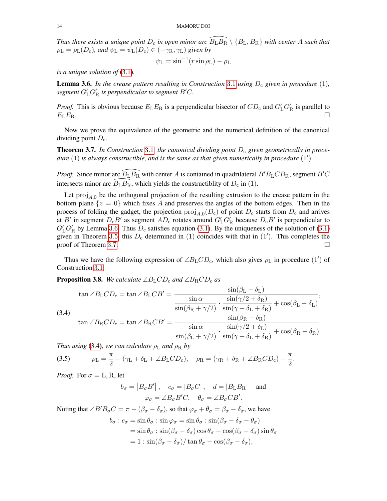*Thus there exists a unique point* D<sup>c</sup> *in open minor arc* \_BLB<sup>R</sup> \ {BL, BR} *with center* <sup>A</sup> *such that*  $\rho_{\rm L} = \rho_{\rm L}(D_{\rm c})$ *, and*  $\psi_{\rm L} = \psi_{\rm L}(D_{\rm c}) \in (-\gamma_{\rm R}, \gamma_{\rm L})$  *given by* 

$$
\psi_{\rm L} = \sin^{-1}(r\sin\rho_{\rm L}) - \rho_{\rm L}
$$

*is a unique solution of* [\(3.1\)](#page-12-3)*.*

<span id="page-13-4"></span>**Lemma [3](#page-11-0).6.** In the crease pattern resulting in Construction 3.1 using  $D_c$  given in procedure (1),  $s$ egment  $G'_{\rm L} G'_{\rm R}$  is perpendicular to segment  $B'C$ .

*Proof.* This is obvious because  $E_L E_R$  is a perpendicular bisector of  $CD_c$  and  $G'_L G'_R$  is parallel to  $E_{\rm L}E_{\rm R}$ .

Now we prove the equivalence of the geometric and the numerical definition of the canonical dividing point  $D_{\rm c}$ .

<span id="page-13-0"></span>**Theorem [3](#page-11-0).7.** In Construction 3.1, the canonical dividing point  $D_c$  given geometrically in proce*dure*  $(1)$  *is always constructible, and is the same as that given numerically in procedure*  $(1')$ *.* 

*dure* (1) *is always constructible, and is the same as that given numerically in procedure* (1').<br>*Proof.* Since minor arc  $\widehat{B_{\rm L}}B_{\rm R}$  with center A is contained in quadrilateral  $B'B_{\rm L}CB_{\rm R}$ , segment  $B'C$ intersects minor arc  $B_{\rm L}B_{\rm R}$ , which yields the constructiblity of  $D_{\rm c}$  in (1). arc  $\widehat{B_L B_R}$  with center A is contained in quadrilateral  $\widehat{B_L B_R}$ , which yields the constructiblity of  $D_c$  in (1).

Let  $\text{proj}_{A,0}$  be the orthogonal projection of the resulting extrusion to the crease pattern in the bottom plane  $\{z = 0\}$  which fixes A and preserves the angles of the bottom edges. Then in the process of folding the gadget, the projection  $\text{proj}_{A,0}(D_c)$  of point  $D_c$  starts from  $D_c$  and arrives at B' in segment  $D_cB'$  as segment  $AD_c$  rotates around  $G'_LG'_R$  because  $D_cB'$  is perpendicular to  $G'_{\rm L}G'_{\rm R}$  by Lemma [3](#page-13-4).6. Thus  $D_{\rm c}$  satisfies equation [\(3.1\)](#page-12-3). By the uniqueness of the solution of (3.1) given in Theorem [3](#page-12-0).5, this  $D_c$  determined in (1) coincides with that in (1'). This completes the proof of Theorem [3](#page-13-0).7.

Thus we have the following expression of  $\angle B_{\rm L}CD_{\rm c}$ , which also gives  $\rho_{\rm L}$  in procedure (1') of Construction [3](#page-11-0).1.

 $\frac{1}{2}$   $\frac{1}{2}$ 

.

<span id="page-13-3"></span>**Proposition 3.8.** *We calculate* ∠ $B<sub>L</sub>CD<sub>c</sub>$  *and* ∠ $B<sub>R</sub>CD<sub>c</sub>$  *as* 

<span id="page-13-1"></span>
$$
\tan \angle B_{\rm L}CD_{\rm c} = \tan \angle B_{\rm L}CB' = \frac{\sin \alpha}{\sin \alpha} \cdot \frac{\sin(\beta_{\rm L} - \sigma_{\rm L})}{\sin(\gamma/2 + \delta_{\rm R})} \cdot \cos(\beta_{\rm L} - \delta_{\rm L})},
$$
\n
$$
\tan \angle B_{\rm R}CD_{\rm c} = \tan \angle B_{\rm R}CB' = \frac{\sin(\beta_{\rm R} + \gamma/2)}{\sin(\alpha + \beta_{\rm L} + \delta_{\rm R})} \cdot \frac{\sin(\beta_{\rm R} - \delta_{\rm R})}{\sin(\beta_{\rm R} + \gamma/2)} \cdot \frac{\sin(\gamma/2 + \delta_{\rm L})}{\sin(\gamma/2 + \delta_{\rm L})} + \cos(\beta_{\rm R} - \delta_{\rm R})}.
$$

*Thus using* [\(3.4\)](#page-13-1)*, we can calculate*  $\rho_L$  *and*  $\rho_R$  *by* 

<span id="page-13-2"></span>(3.5) 
$$
\rho_{\rm L} = \frac{\pi}{2} - (\gamma_{\rm L} + \delta_{\rm L} + \angle B_{\rm L}CD_{\rm c}), \quad \rho_{\rm R} = (\gamma_{\rm R} + \delta_{\rm R} + \angle B_{\rm R}CD_{\rm c}) - \frac{\pi}{2}.
$$

*Proof.* For  $\sigma = L, R$ , let

$$
b_{\sigma} = |B_{\sigma}B'|
$$
,  $c_{\sigma} = |B_{\sigma}C|$ ,  $d = |B_{\text{L}}B_{\text{R}}|$  and  
 $\varphi_{\sigma} = \angle B_{\sigma}B'C$ ,  $\theta_{\sigma} = \angle B_{\sigma}CB'$ .

Noting that  $\angle B'B_{\sigma}C = \pi - (\beta_{\sigma} - \delta_{\sigma})$ , so that  $\varphi_{\sigma} + \theta_{\sigma} = \beta_{\sigma} - \delta_{\sigma}$ , we have

$$
b_{\sigma} : c_{\sigma} = \sin \theta_{\sigma} : \sin \varphi_{\sigma} = \sin \theta_{\sigma} : \sin(\beta_{\sigma} - \delta_{\sigma} - \theta_{\sigma})
$$
  
=  $\sin \theta_{\sigma} : \sin(\beta_{\sigma} - \delta_{\sigma}) \cos \theta_{\sigma} - \cos(\beta_{\sigma} - \delta_{\sigma}) \sin \theta_{\sigma}$   
=  $1 : \sin(\beta_{\sigma} - \delta_{\sigma}) / \tan \theta_{\sigma} - \cos(\beta_{\sigma} - \delta_{\sigma}),$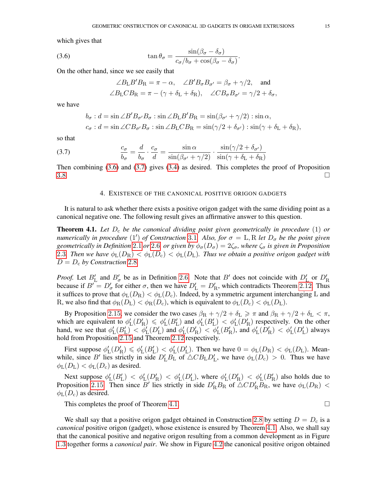which gives that

(3.6) 
$$
\tan \theta_{\sigma} = \frac{\sin(\beta_{\sigma} - \delta_{\sigma})}{c_{\sigma}/b_{\sigma} + \cos(\beta_{\sigma} - \delta_{\sigma})}.
$$

On the other hand, since we see easily that

<span id="page-14-2"></span>
$$
\angle B_{\text{L}}B'B_{\text{R}} = \pi - \alpha, \quad \angle B'B_{\sigma}B_{\sigma'} = \beta_{\sigma} + \gamma/2, \quad \text{and}
$$
  

$$
\angle B_{\text{L}}CB_{\text{R}} = \pi - (\gamma + \delta_{\text{L}} + \delta_{\text{R}}), \quad \angle CB_{\sigma}B_{\sigma'} = \gamma/2 + \delta_{\sigma},
$$

we have

<span id="page-14-3"></span>
$$
b_{\sigma} : d = \sin \angle B'B_{\sigma'}B_{\sigma} : \sin \angle B_{\mathcal{L}}B'B_{\mathcal{R}} = \sin(\beta_{\sigma'} + \gamma/2) : \sin \alpha,
$$
  

$$
c_{\sigma} : d = \sin \angle CB_{\sigma'}B_{\sigma} : \sin \angle B_{\mathcal{L}}CB_{\mathcal{R}} = \sin(\gamma/2 + \delta_{\sigma'}) : \sin(\gamma + \delta_{\mathcal{L}} + \delta_{\mathcal{R}}),
$$

so that

(3.7) 
$$
\frac{c_{\sigma}}{b_{\sigma}} = \frac{d}{b_{\sigma}} \cdot \frac{c_{\sigma}}{d} = \frac{\sin \alpha}{\sin(\beta_{\sigma'} + \gamma/2)} \cdot \frac{\sin(\gamma/2 + \delta_{\sigma'})}{\sin(\gamma + \delta_{\rm L} + \delta_{\rm R})}
$$

<span id="page-14-1"></span>Then combining [\(3.6\)](#page-14-2) and [\(3.7\)](#page-14-3) gives [\(3.4\)](#page-13-1) as desired. This completes the proof of Proposition  $3.8.$  $3.8.$ 

### 4. EXISTENCE OF THE CANONICAL POSITIVE ORIGON GADGETS

It is natural to ask whether there exists a positive origon gadget with the same dividing point as a canonical negative one. The following result gives an affirmative answer to this question.

<span id="page-14-0"></span>**Theorem 4.1.** Let  $D_c$  be the canonical dividing point given geometrically in procedure  $(1)$  or *numerically in procedure* (1') *of Construction* [3](#page-11-0).1*. Also, for*  $\sigma = L, R$  *let*  $D_{\sigma}$  *be the point given geometrically in Definition* [2](#page-5-0).1 *or* 2.6*, or given by*  $\phi_{\sigma}(D_{\sigma}) = 2\zeta_{\sigma}$ *, where*  $\zeta_{\sigma}$  *is given in Proposition* [2](#page-4-1).3*. Then we have*  $\phi_L(D_R) < \phi_L(D_c) < \phi_L(D_L)$ *. Thus we obtain a positive origon gadget with*  $D = D_c$  by Construction [2](#page-6-0).8.

*Proof.* Let  $B'_{\text{L}}$  and  $B'_{\sigma}$  be as in Definition [2](#page-5-0).6. Note that B' does not coincide with  $D'_{\text{L}}$  or  $D'_{\text{R}}$ because if  $B' = D'_\sigma$  for either  $\sigma$ , then we have  $D'_L = D'_R$ , which contradicts Theorem 2.[12](#page-8-3). Thus it suffices to prove that  $\phi_L(D_R) < \phi_L(D_c)$ . Indeed, by a symmetric argument interchanging L and R, we also find that  $\phi_R(D_L) < \phi_R(D_c)$ , which is equivalent to  $\phi_L(D_c) < \phi_L(D_L)$ .

By Proposition 2.[15](#page-9-2), we consider the two cases  $\beta_R + \gamma/2 + \delta_L \ge \pi$  and  $\beta_R + \gamma/2 + \delta_L < \pi$ , which are equivalent to  $\phi'_{L}(D'_{R}) \leq \phi'_{L}(B'_{L})$  and  $\phi'_{L}(B'_{L}) < \phi'_{L}(D'_{R})$  respectively. On the other hand, we see that  $\phi'_{L}(B'_{L}) \leq \phi'_{L}(D'_{L})$  and  $\phi'_{L}(D'_{R}) \leq \phi'_{L}(B'_{R})$ , and  $\phi'_{L}(D'_{R}) < \phi'_{L}(D'_{L})$  always hold from Proposition 2.[15](#page-9-2) and Theorem 2.[12](#page-8-3) respectively.

First suppose  $\phi'_{L}(D'_{R}) \leq \phi'_{L}(B'_{L}) < \phi'_{L}(D'_{L})$ . Then we have  $0 = \phi_{L}(D_{R}) < \phi_{L}(D_{L})$ . Meanwhile, since B' lies strictly in side  $D'_{L}B_{L}$  of  $\triangle C B_{L}D'_{L}$ , we have  $\phi_{L}(D_{c}) > 0$ . Thus we have  $\phi_L(D_L) < \phi_L(D_c)$  as desired.

Next suppose  $\phi'_{L}(B'_{L}) < \phi'_{L}(D'_{R}) < \phi'_{L}(D'_{L})$ , where  $\phi'_{L}(D'_{R}) < \phi'_{L}(B'_{R})$  also holds due to Proposition 2.[15](#page-9-2). Then since  $\vec{B}'$  lies strictly in side  $D'_R B_R$  of  $\triangle CD'_R \overline{B}_R$ , we have  $\phi_L(D_R)$  <  $\phi_{\rm L}(D_{\rm c})$  as desired.

This completes the proof of Theorem [4](#page-14-0).1.  $\Box$ 

We shall say that a positive origon gadget obtained in Construction [2](#page-6-0).8 by setting  $D = D<sub>c</sub>$  is a *canonical* positive origon (gadget), whose existence is ensured by Theorem [4](#page-14-0).1. Also, we shall say that the canonical positive and negative origon resulting from a common development as in Figure [1](#page-2-0).3 together forms a *canonical pair*. We show in Figure [4](#page-15-0).2 the canonical positive origon obtained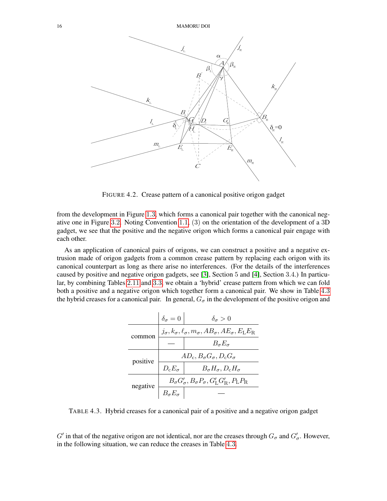

<span id="page-15-0"></span>FIGURE 4.2. Crease pattern of a canonical positive origon gadget

from the development in Figure [1](#page-2-0).3, which forms a canonical pair together with the canonical negative one in Figure [3](#page-12-1).2. Noting Convention [1](#page-1-0).1, (3) on the orientation of the development of a 3D gadget, we see that the positive and the negative origon which forms a canonical pair engage with each other.

As an application of canonical pairs of origons, we can construct a positive and a negative extrusion made of origon gadgets from a common crease pattern by replacing each origon with its canonical counterpart as long as there arise no interferences. (For the details of the interferences caused by positive and negative origon gadgets, see [\[3\]](#page-16-1), Section 5 and [\[4\]](#page-16-2), Section 3.4.) In particular, by combining Tables 2.[11](#page-7-1) and 3.[3](#page-11-3), we obtain a 'hybrid' crease pattern from which we can fold both a positive and a negative origon which together form a canonical pair. We show in Table [4](#page-15-1).3 the hybrid creases for a canonical pair. In general,  $G_{\sigma}$  in the development of the positive origon and

|          | $\delta_{\sigma}=0$                                                                               | $\delta_{\sigma} > 0$                          |  |  |  |
|----------|---------------------------------------------------------------------------------------------------|------------------------------------------------|--|--|--|
| common   | $j_{\sigma}, k_{\sigma}, \ell_{\sigma}, m_{\sigma}, AB_{\sigma}, AE_{\sigma}, E_{\rm L}E_{\rm R}$ |                                                |  |  |  |
|          |                                                                                                   | $B_{\sigma}E_{\sigma}$                         |  |  |  |
| positive | $AD_{\rm c}, B_{\sigma}G_{\sigma}, D_{\rm c}G_{\sigma}$                                           |                                                |  |  |  |
|          | $D_{c}E_{\sigma}$                                                                                 | $B_{\sigma}H_{\sigma}$ , $D_{\rm c}H_{\sigma}$ |  |  |  |
| negative | $B_{\sigma}G_{\sigma}', B_{\sigma}P_{\sigma}, G_{\rm L}'G_{\rm R}', P_{\rm L}P_{\rm R}$           |                                                |  |  |  |
|          |                                                                                                   |                                                |  |  |  |

<span id="page-15-1"></span>TABLE 4.3. Hybrid creases for a canonical pair of a positive and a negative origon gadget

 $G'$  in that of the negative origon are not identical, nor are the creases through  $G_{\sigma}$  and  $G'_{\sigma}$ . However, in the following situation, we can reduce the creases in Table [4](#page-15-1).3.